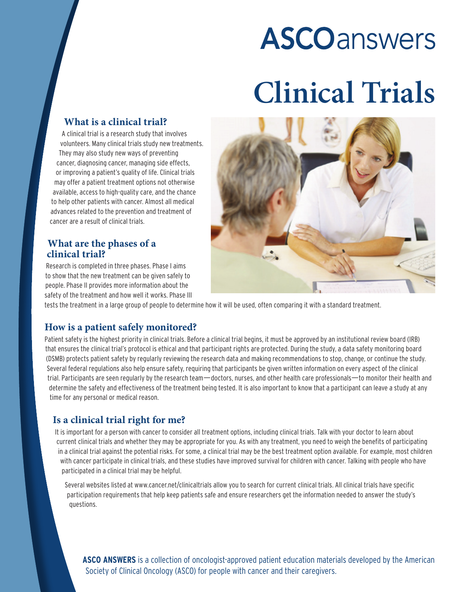# **ASCO** answers

## **Clinical Trials**

## **What is a clinical trial?**

A clinical trial is a research study that involves volunteers. Many clinical trials study new treatments. They may also study new ways of preventing cancer, diagnosing cancer, managing side effects, or improving a patient's quality of life. Clinical trials may offer a patient treatment options not otherwise available, access to high-quality care, and the chance to help other patients with cancer. Almost all medical advances related to the prevention and treatment of cancer are a result of clinical trials.

## **What are the phases of a clinical trial?**

Research is completed in three phases. Phase I aims to show that the new treatment can be given safely to people. Phase II provides more information about the safety of the treatment and how well it works. Phase III



tests the treatment in a large group of people to determine how it will be used, often comparing it with a standard treatment.

## **How is a patient safely monitored?**

Patient safety is the highest priority in clinical trials. Before a clinical trial begins, it must be approved by an institutional review board (IRB) that ensures the clinical trial's protocol is ethical and that participant rights are protected. During the study, a data safety monitoring board (DSMB) protects patient safety by regularly reviewing the research data and making recommendations to stop, change, or continue the study. Several federal regulations also help ensure safety, requiring that participants be given written information on every aspect of the clinical trial. Participants are seen regularly by the research team—doctors, nurses, and other health care professionals—to monitor their health and determine the safety and effectiveness of the treatment being tested. It is also important to know that a participant can leave a study at any time for any personal or medical reason.

## **Is a clinical trial right for me?**

It is important for a person with cancer to consider all treatment options, including clinical trials. Talk with your doctor to learn about current clinical trials and whether they may be appropriate for you. As with any treatment, you need to weigh the benefits of participating in a clinical trial against the potential risks. For some, a clinical trial may be the best treatment option available. For example, most children with cancer participate in clinical trials, and these studies have improved survival for children with cancer. Talking with people who have participated in a clinical trial may be helpful.

Several websites listed at www.cancer.net/clinicaltrials allow you to search for current clinical trials. All clinical trials have specific participation requirements that help keep patients safe and ensure researchers get the information needed to answer the study's questions.

**ASCO ANSWERS** is a collection of oncologist-approved patient education materials developed by the American Society of Clinical Oncology (ASCO) for people with cancer and their caregivers.